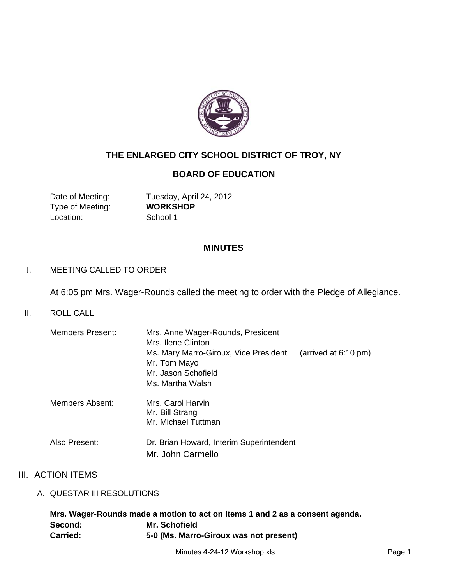

# **THE ENLARGED CITY SCHOOL DISTRICT OF TROY, NY**

## **BOARD OF EDUCATION**

Type of Meeting: **WORKSHOP** Location: School 1

Date of Meeting: Tuesday, April 24, 2012

#### **MINUTES**

#### I. MEETING CALLED TO ORDER I. MEETING CALLED TO

At 6:05 pm Mrs. Wager-Rounds called the meeting to order with the Pledge of Allegiance.

II. ROLL CALL

| <b>Members Present:</b> | Mrs. Anne Wager-Rounds, President<br>Mrs. Ilene Clinton                                  |  |  |  |
|-------------------------|------------------------------------------------------------------------------------------|--|--|--|
|                         | Ms. Mary Marro-Giroux, Vice President<br>(arrived at $6:10 \text{ pm}$ )<br>Mr. Tom Mayo |  |  |  |
|                         | Mr. Jason Schofield                                                                      |  |  |  |
|                         | Ms. Martha Walsh                                                                         |  |  |  |
| Members Absent:         | Mrs. Carol Harvin<br>Mr. Bill Strang<br>Mr. Michael Tuttman                              |  |  |  |
| Also Present:           | Dr. Brian Howard, Interim Superintendent<br>Mr. John Carmello                            |  |  |  |

## III. ACTION ITEMS

A. QUESTAR III RESOLUTIONS

|                 | Mrs. Wager-Rounds made a motion to act on Items 1 and 2 as a consent agenda. |
|-----------------|------------------------------------------------------------------------------|
| Second:         | Mr. Schofield                                                                |
| <b>Carried:</b> | 5-0 (Ms. Marro-Giroux was not present)                                       |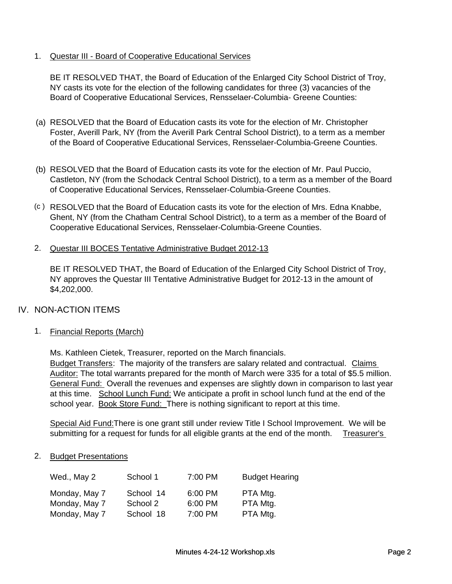#### 1. Questar III - Board of Cooperative Educational Services

BE IT RESOLVED THAT, the Board of Education of the Enlarged City School District of Troy, NY casts its vote for the election of the following candidates for three (3) vacancies of the Board of Cooperative Educational Services, Rensselaer-Columbia- Greene Counties:

- (a) RESOLVED that the Board of Education casts its vote for the election of Mr. Christopher Foster, Averill Park, NY (from the Averill Park Central School District), to a term as a member of the Board of Cooperative Educational Services, Rensselaer-Columbia-Greene Counties.
- (b) RESOLVED that the Board of Education casts its vote for the election of Mr. Paul Puccio, Castleton, NY (from the Schodack Central School District), to a term as a member of the Board of Cooperative Educational Services, Rensselaer-Columbia-Greene Counties.
- (c ) RESOLVED that the Board of Education casts its vote for the election of Mrs. Edna Knabbe, Ghent, NY (from the Chatham Central School District), to a term as a member of the Board of Cooperative Educational Services, Rensselaer-Columbia-Greene Counties.
- 2. Questar III BOCES Tentative Administrative Budget 2012-13

BE IT RESOLVED THAT, the Board of Education of the Enlarged City School District of Troy, NY approves the Questar III Tentative Administrative Budget for 2012-13 in the amount of \$4,202,000.

## IV. NON-ACTION ITEMS

1. Financial Reports (March)

Ms. Kathleen Cietek, Treasurer, reported on the March financials.

Budget Transfers: The majority of the transfers are salary related and contractual. Claims Auditor: The total warrants prepared for the month of March were 335 for a total of \$5.5 million. General Fund: Overall the revenues and expenses are slightly down in comparison to last year at this time. School Lunch Fund: We anticipate a profit in school lunch fund at the end of the school year. Book Store Fund: There is nothing significant to report at this time.

Special Aid Fund:There is one grant still under review Title I School Improvement. We will be submitting for a request for funds for all eligible grants at the end of the month. Treasurer's

#### 2. Budget Presentations

| Wed., May 2   | School 1  | 7:00 PM | <b>Budget Hearing</b> |
|---------------|-----------|---------|-----------------------|
| Monday, May 7 | School 14 | 6:00 PM | PTA Mtg.              |
| Monday, May 7 | School 2  | 6:00 PM | PTA Mtg.              |
| Monday, May 7 | School 18 | 7:00 PM | PTA Mtg.              |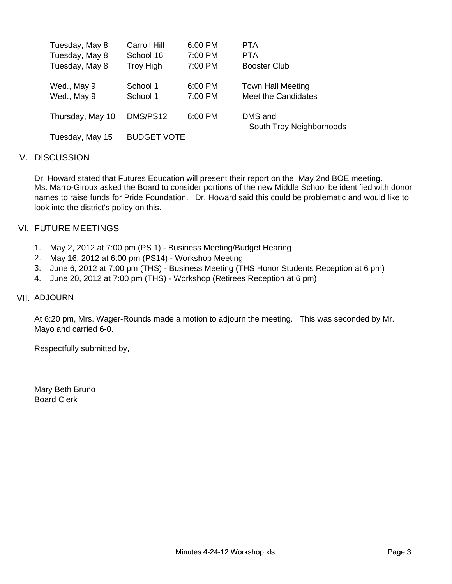| Tuesday, May 8   | Carroll Hill       | 6:00 PM | <b>PTA</b>                          |
|------------------|--------------------|---------|-------------------------------------|
| Tuesday, May 8   | School 16          | 7:00 PM | <b>PTA</b>                          |
| Tuesday, May 8   | <b>Troy High</b>   | 7:00 PM | <b>Booster Club</b>                 |
| Wed., May 9      | School 1           | 6:00 PM | <b>Town Hall Meeting</b>            |
| Wed., May 9      | School 1           | 7:00 PM | Meet the Candidates                 |
| Thursday, May 10 | DMS/PS12           | 6:00 PM | DMS and<br>South Troy Neighborhoods |
| Tuesday, May 15  | <b>BUDGET VOTE</b> |         |                                     |

## V. DISCUSSION

Dr. Howard stated that Futures Education will present their report on the May 2nd BOE meeting. Ms. Marro-Giroux asked the Board to consider portions of the new Middle School be identified with donor names to raise funds for Pride Foundation. Dr. Howard said this could be problematic and would like to look into the district's policy on this.

## VI. FUTURE MEETINGS

- 1. May 2, 2012 at 7:00 pm (PS 1) Business Meeting/Budget Hearing
- 2. May 16, 2012 at 6:00 pm (PS14) Workshop Meeting
- 3. June 6, 2012 at 7:00 pm (THS) Business Meeting (THS Honor Students Reception at 6 pm)<br>4. June 20, 2012 at 7:00 pm (THS) Workshop (Retirees Reception at 6 pm)
- 

#### VII. ADJOURN

At 6:20 pm, Mrs. Wager-Rounds made a motion to adjourn the meeting. This was seconded by Mr. Mayo and carried 6-0.

Respectfully submitted by,

Mary Beth Bruno Board Clerk